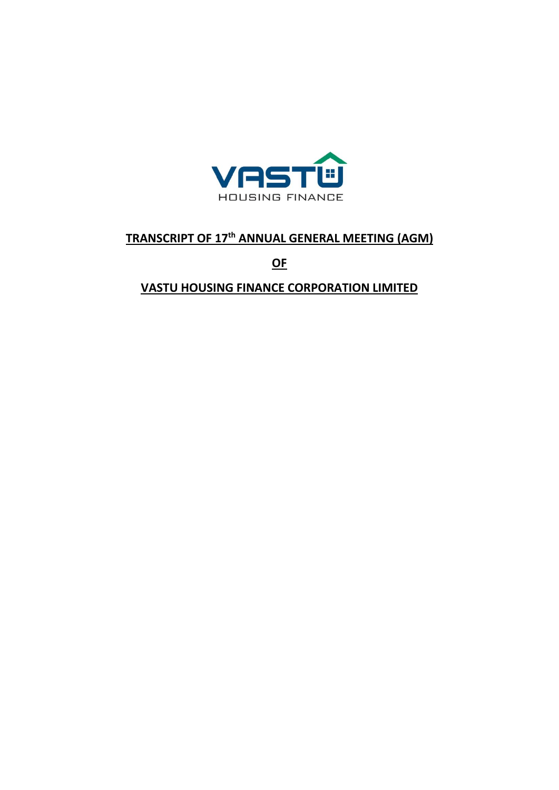

# **TRANSCRIPT OF 17th ANNUAL GENERAL MEETING (AGM)**

**OF** 

**VASTU HOUSING FINANCE CORPORATION LIMITED**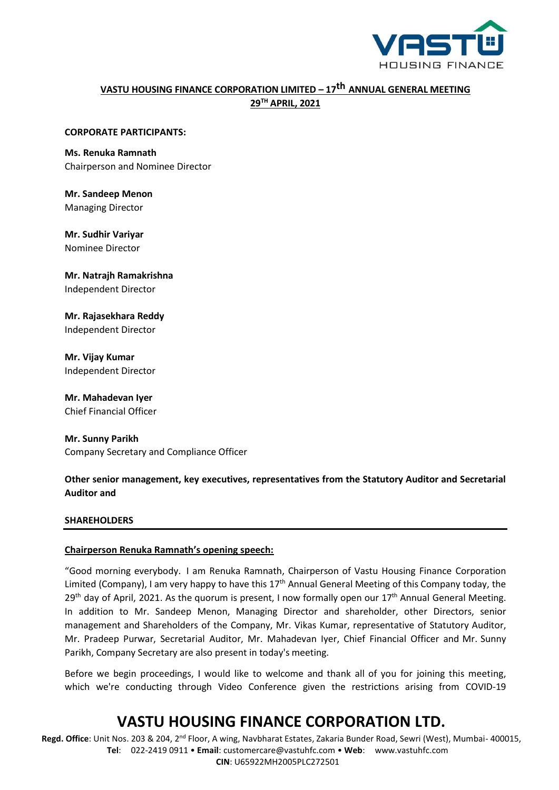

# **VASTU HOUSING FINANCE CORPORATION LIMITED – 17 th ANNUAL GENERAL MEETING 29TH APRIL, 2021**

#### **CORPORATE PARTICIPANTS:**

## **Ms. Renuka Ramnath**

Chairperson and Nominee Director

**Mr. Sandeep Menon** Managing Director

**Mr. Sudhir Variyar** Nominee Director

**Mr. Natrajh Ramakrishna** Independent Director

**Mr. Rajasekhara Reddy** Independent Director

**Mr. Vijay Kumar** Independent Director

**Mr. Mahadevan Iyer** Chief Financial Officer

**Mr. Sunny Parikh** Company Secretary and Compliance Officer

## **Other senior management, key executives, representatives from the Statutory Auditor and Secretarial Auditor and**

### **SHAREHOLDERS**

### **Chairperson Renuka Ramnath's opening speech:**

"Good morning everybody. I am Renuka Ramnath, Chairperson of Vastu Housing Finance Corporation Limited (Company), I am very happy to have this  $17<sup>th</sup>$  Annual General Meeting of this Company today, the  $29<sup>th</sup>$  day of April, 2021. As the quorum is present, I now formally open our  $17<sup>th</sup>$  Annual General Meeting. In addition to Mr. Sandeep Menon, Managing Director and shareholder, other Directors, senior management and Shareholders of the Company, Mr. Vikas Kumar, representative of Statutory Auditor, Mr. Pradeep Purwar, Secretarial Auditor, Mr. Mahadevan Iyer, Chief Financial Officer and Mr. Sunny Parikh, Company Secretary are also present in today's meeting.

Before we begin proceedings, I would like to welcome and thank all of you for joining this meeting, which we're conducting through Video Conference given the restrictions arising from COVID-19

# **VASTU HOUSING FINANCE CORPORATION LTD.**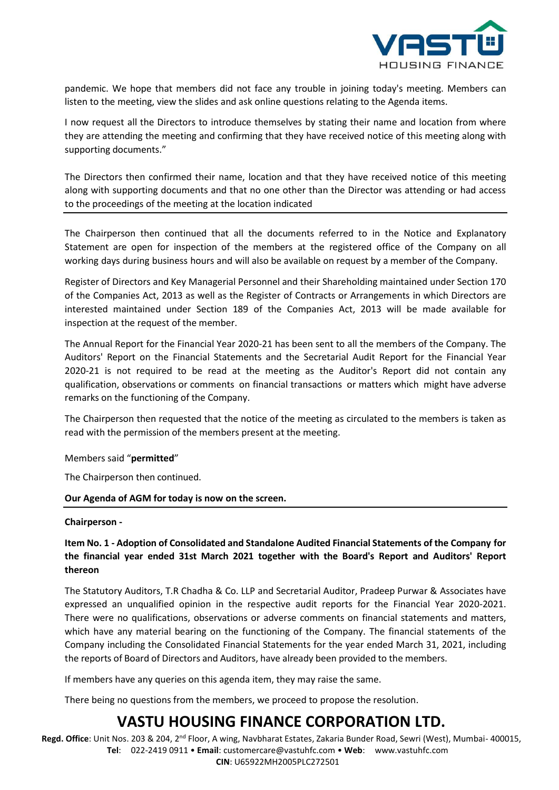

pandemic. We hope that members did not face any trouble in joining today's meeting. Members can listen to the meeting, view the slides and ask online questions relating to the Agenda items.

I now request all the Directors to introduce themselves by stating their name and location from where they are attending the meeting and confirming that they have received notice of this meeting along with supporting documents."

The Directors then confirmed their name, location and that they have received notice of this meeting along with supporting documents and that no one other than the Director was attending or had access to the proceedings of the meeting at the location indicated

The Chairperson then continued that all the documents referred to in the Notice and Explanatory Statement are open for inspection of the members at the registered office of the Company on all working days during business hours and will also be available on request by a member of the Company.

Register of Directors and Key Managerial Personnel and their Shareholding maintained under Section 170 of the Companies Act, 2013 as well as the Register of Contracts or Arrangements in which Directors are interested maintained under Section 189 of the Companies Act, 2013 will be made available for inspection at the request of the member.

The Annual Report for the Financial Year 2020-21 has been sent to all the members of the Company. The Auditors' Report on the Financial Statements and the Secretarial Audit Report for the Financial Year 2020-21 is not required to be read at the meeting as the Auditor's Report did not contain any qualification, observations or comments on financial transactions or matters which might have adverse remarks on the functioning of the Company.

The Chairperson then requested that the notice of the meeting as circulated to the members is taken as read with the permission of the members present at the meeting.

Members said "**permitted**"

The Chairperson then continued.

**Our Agenda of AGM for today is now on the screen.**

#### **Chairperson -**

## **Item No. 1 - Adoption of Consolidated and Standalone Audited Financial Statements of the Company for the financial year ended 31st March 2021 together with the Board's Report and Auditors' Report thereon**

The Statutory Auditors, T.R Chadha & Co. LLP and Secretarial Auditor, Pradeep Purwar & Associates have expressed an unqualified opinion in the respective audit reports for the Financial Year 2020-2021. There were no qualifications, observations or adverse comments on financial statements and matters, which have any material bearing on the functioning of the Company. The financial statements of the Company including the Consolidated Financial Statements for the year ended March 31, 2021, including the reports of Board of Directors and Auditors, have already been provided to the members.

If members have any queries on this agenda item, they may raise the same.

There being no questions from the members, we proceed to propose the resolution.

# **VASTU HOUSING FINANCE CORPORATION LTD.**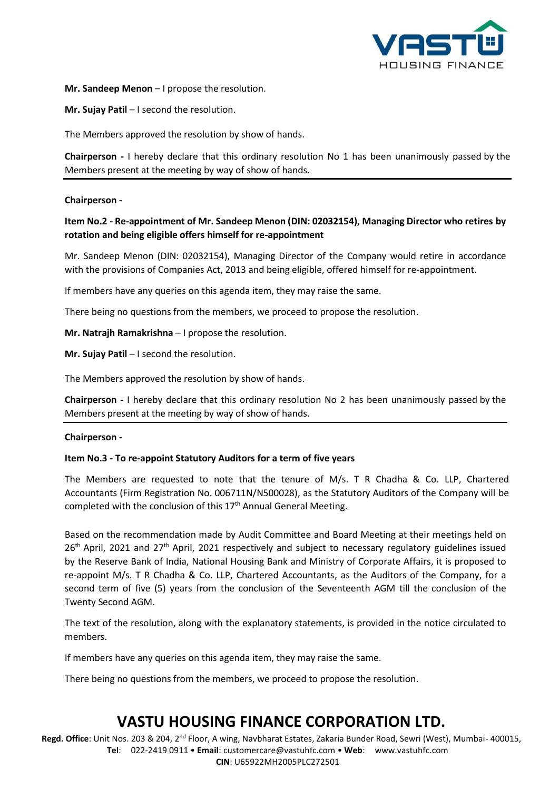

## **Mr. Sandeep Menon** – I propose the resolution.

**Mr. Sujay Patil** – I second the resolution.

The Members approved the resolution by show of hands.

**Chairperson -** I hereby declare that this ordinary resolution No 1 has been unanimously passed by the Members present at the meeting by way of show of hands.

## **Chairperson -**

## **Item No.2 - Re-appointment of Mr. Sandeep Menon (DIN: [02032154\),](http://www.mca.gov.in/mcafoportal/companyLLPMasterData.do) Managing Director who retires by rotation and being eligible offers himself for re-appointment**

Mr. Sandeep Menon (DI[N: 02032154\),](http://www.mca.gov.in/mcafoportal/companyLLPMasterData.do) Managing Director of the Company would retire in accordance with the provisions of Companies Act, 2013 and being eligible, offered himself for re-appointment.

If members have any queries on this agenda item, they may raise the same.

There being no questions from the members, we proceed to propose the resolution.

**Mr. Natrajh Ramakrishna** – I propose the resolution.

**Mr. Sujay Patil** – I second the resolution.

The Members approved the resolution by show of hands.

**Chairperson -** I hereby declare that this ordinary resolution No 2 has been unanimously passed by the Members present at the meeting by way of show of hands.

### **Chairperson -**

## **Item No.3 - To re-appoint Statutory Auditors for a term of five years**

The Members are requested to note that the tenure of M/s. T R Chadha & Co. LLP, Chartered Accountants (Firm Registration No. 006711N/N500028), as the Statutory Auditors of the Company will be completed with the conclusion of this 17<sup>th</sup> Annual General Meeting.

Based on the recommendation made by Audit Committee and Board Meeting at their meetings held on 26<sup>th</sup> April, 2021 and 27<sup>th</sup> April, 2021 respectively and subject to necessary regulatory guidelines issued by the Reserve Bank of India, National Housing Bank and Ministry of Corporate Affairs, it is proposed to re-appoint M/s. T R Chadha & Co. LLP, Chartered Accountants, as the Auditors of the Company, for a second term of five (5) years from the conclusion of the Seventeenth AGM till the conclusion of the Twenty Second AGM.

The text of the resolution, along with the explanatory statements, is provided in the notice circulated to members.

If members have any queries on this agenda item, they may raise the same.

There being no questions from the members, we proceed to propose the resolution.

# **VASTU HOUSING FINANCE CORPORATION LTD.**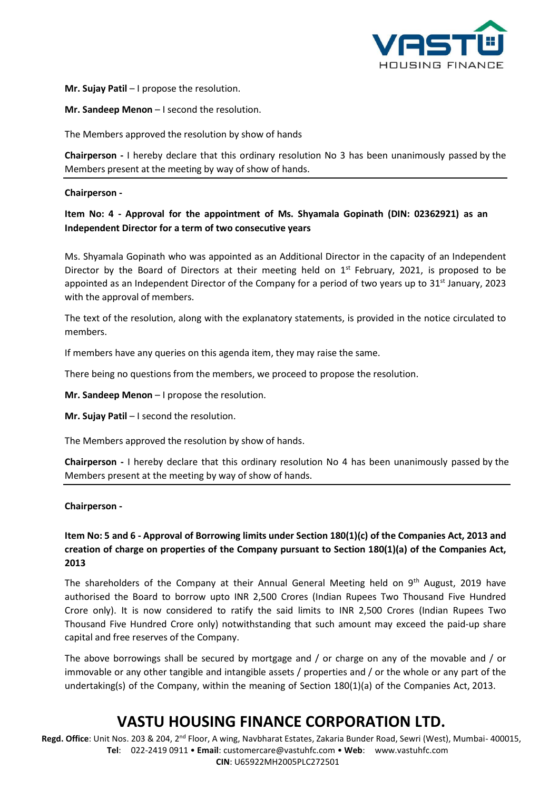

**Mr. Sujay Patil** – I propose the resolution.

**Mr. Sandeep Menon** – I second the resolution.

The Members approved the resolution by show of hands

**Chairperson -** I hereby declare that this ordinary resolution No 3 has been unanimously passed by the Members present at the meeting by way of show of hands.

#### **Chairperson -**

## **Item No: 4 - Approval for the appointment of Ms. Shyamala Gopinath (DIN: 02362921) as an Independent Director for a term of two consecutive years**

Ms. Shyamala Gopinath who was appointed as an Additional Director in the capacity of an Independent Director by the Board of Directors at their meeting held on  $1<sup>st</sup>$  February, 2021, is proposed to be appointed as an Independent Director of the Company for a period of two years up to  $31<sup>st</sup>$  January, 2023 with the approval of members.

The text of the resolution, along with the explanatory statements, is provided in the notice circulated to members.

If members have any queries on this agenda item, they may raise the same.

There being no questions from the members, we proceed to propose the resolution.

**Mr. Sandeep Menon** – I propose the resolution.

**Mr. Sujay Patil** – I second the resolution.

The Members approved the resolution by show of hands.

**Chairperson -** I hereby declare that this ordinary resolution No 4 has been unanimously passed by the Members present at the meeting by way of show of hands.

#### **Chairperson -**

## **Item No: 5 and 6 - Approval of Borrowing limits under Section 180(1)(c) of the Companies Act, 2013 and creation of charge on properties of the Company pursuant to Section 180(1)(a) of the Companies Act, 2013**

The shareholders of the Company at their Annual General Meeting held on 9<sup>th</sup> August, 2019 have authorised the Board to borrow upto INR 2,500 Crores (Indian Rupees Two Thousand Five Hundred Crore only). It is now considered to ratify the said limits to INR 2,500 Crores (Indian Rupees Two Thousand Five Hundred Crore only) notwithstanding that such amount may exceed the paid-up share capital and free reserves of the Company.

The above borrowings shall be secured by mortgage and / or charge on any of the movable and / or immovable or any other tangible and intangible assets / properties and / or the whole or any part of the undertaking(s) of the Company, within the meaning of Section 180(1)(a) of the Companies Act, 2013.

# **VASTU HOUSING FINANCE CORPORATION LTD.**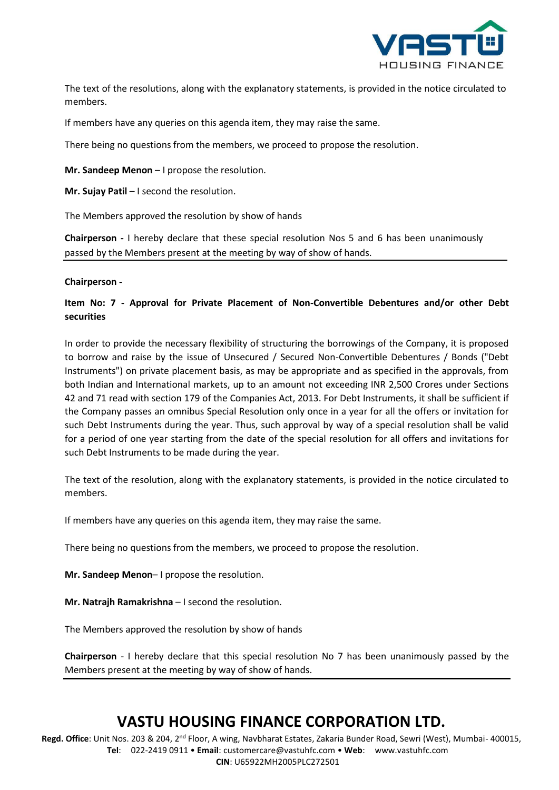

The text of the resolutions, along with the explanatory statements, is provided in the notice circulated to members.

If members have any queries on this agenda item, they may raise the same.

There being no questions from the members, we proceed to propose the resolution.

**Mr. Sandeep Menon** – I propose the resolution.

**Mr. Sujay Patil** – I second the resolution.

The Members approved the resolution by show of hands

**Chairperson -** I hereby declare that these special resolution Nos 5 and 6 has been unanimously passed by the Members present at the meeting by way of show of hands.

### **Chairperson -**

## **Item No: 7 - Approval for Private Placement of Non-Convertible Debentures and/or other Debt securities**

In order to provide the necessary flexibility of structuring the borrowings of the Company, it is proposed to borrow and raise by the issue of Unsecured / Secured Non-Convertible Debentures / Bonds ("Debt Instruments") on private placement basis, as may be appropriate and as specified in the approvals, from both Indian and International markets, up to an amount not exceeding INR 2,500 Crores under Sections 42 and 71 read with section 179 of the Companies Act, 2013. For Debt Instruments, it shall be sufficient if the Company passes an omnibus Special Resolution only once in a year for all the offers or invitation for such Debt Instruments during the year. Thus, such approval by way of a special resolution shall be valid for a period of one year starting from the date of the special resolution for all offers and invitations for such Debt Instruments to be made during the year.

The text of the resolution, along with the explanatory statements, is provided in the notice circulated to members.

If members have any queries on this agenda item, they may raise the same.

There being no questions from the members, we proceed to propose the resolution.

**Mr. Sandeep Menon**– I propose the resolution.

**Mr. Natrajh Ramakrishna** – I second the resolution.

The Members approved the resolution by show of hands

**Chairperson** - I hereby declare that this special resolution No 7 has been unanimously passed by the Members present at the meeting by way of show of hands.

# **VASTU HOUSING FINANCE CORPORATION LTD.**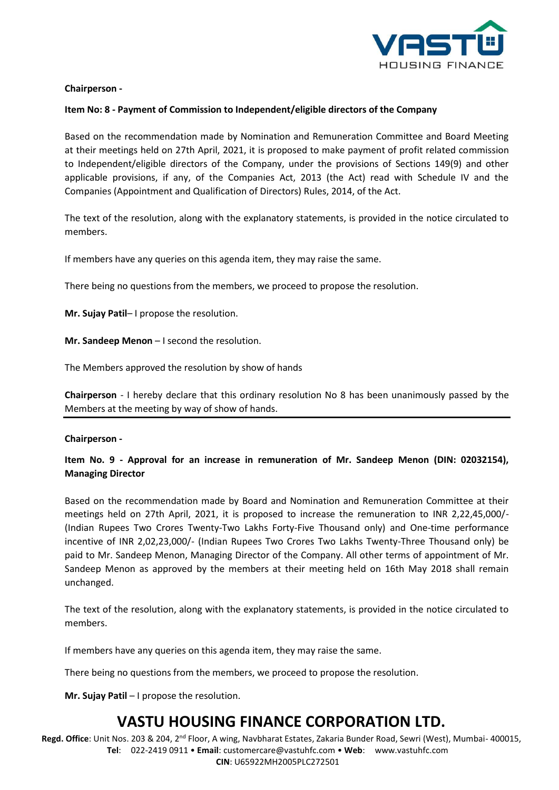

## **Chairperson -**

## **Item No: 8 - Payment of Commission to Independent/eligible directors of the Company**

Based on the recommendation made by Nomination and Remuneration Committee and Board Meeting at their meetings held on 27th April, 2021, it is proposed to make payment of profit related commission to Independent/eligible directors of the Company, under the provisions of Sections 149(9) and other applicable provisions, if any, of the Companies Act, 2013 (the Act) read with Schedule IV and the Companies (Appointment and Qualification of Directors) Rules, 2014, of the Act.

The text of the resolution, along with the explanatory statements, is provided in the notice circulated to members.

If members have any queries on this agenda item, they may raise the same.

There being no questions from the members, we proceed to propose the resolution.

**Mr. Sujay Patil**– I propose the resolution.

**Mr. Sandeep Menon** – I second the resolution.

The Members approved the resolution by show of hands

**Chairperson** - I hereby declare that this ordinary resolution No 8 has been unanimously passed by the Members at the meeting by way of show of hands.

### **Chairperson -**

## **Item No. 9 - Approval for an increase in remuneration of Mr. Sandeep Menon (DIN: 02032154), Managing Director**

Based on the recommendation made by Board and Nomination and Remuneration Committee at their meetings held on 27th April, 2021, it is proposed to increase the remuneration to INR 2,22,45,000/- (Indian Rupees Two Crores Twenty-Two Lakhs Forty-Five Thousand only) and One-time performance incentive of INR 2,02,23,000/- (Indian Rupees Two Crores Two Lakhs Twenty-Three Thousand only) be paid to Mr. Sandeep Menon, Managing Director of the Company. All other terms of appointment of Mr. Sandeep Menon as approved by the members at their meeting held on 16th May 2018 shall remain unchanged.

The text of the resolution, along with the explanatory statements, is provided in the notice circulated to members.

If members have any queries on this agenda item, they may raise the same.

There being no questions from the members, we proceed to propose the resolution.

**Mr. Sujay Patil** – I propose the resolution.

# **VASTU HOUSING FINANCE CORPORATION LTD.**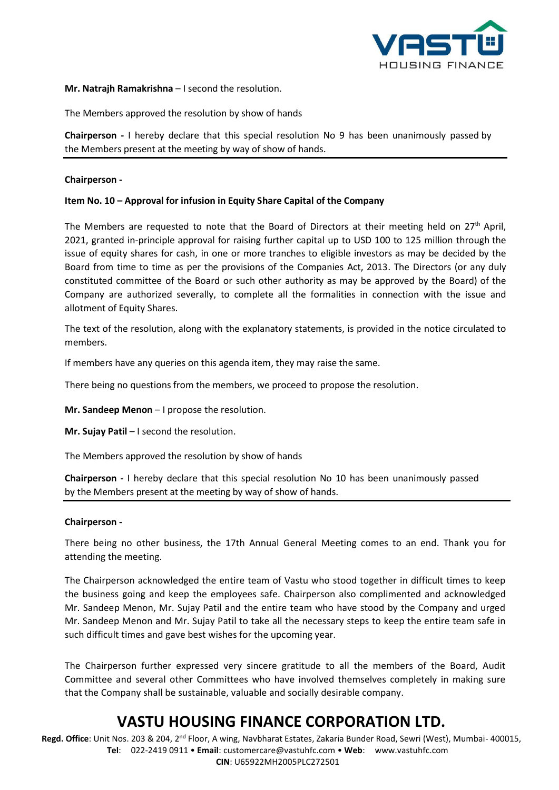

## **Mr. Natrajh Ramakrishna** – I second the resolution.

The Members approved the resolution by show of hands

**Chairperson -** I hereby declare that this special resolution No 9 has been unanimously passed by the Members present at the meeting by way of show of hands.

### **Chairperson -**

### **Item No. 10 – Approval for infusion in Equity Share Capital of the Company**

The Members are requested to note that the Board of Directors at their meeting held on 27<sup>th</sup> April, 2021, granted in-principle approval for raising further capital up to USD 100 to 125 million through the issue of equity shares for cash, in one or more tranches to eligible investors as may be decided by the Board from time to time as per the provisions of the Companies Act, 2013. The Directors (or any duly constituted committee of the Board or such other authority as may be approved by the Board) of the Company are authorized severally, to complete all the formalities in connection with the issue and allotment of Equity Shares.

The text of the resolution, along with the explanatory statements, is provided in the notice circulated to members.

If members have any queries on this agenda item, they may raise the same.

There being no questions from the members, we proceed to propose the resolution.

**Mr. Sandeep Menon** – I propose the resolution.

**Mr. Sujay Patil** – I second the resolution.

The Members approved the resolution by show of hands

**Chairperson -** I hereby declare that this special resolution No 10 has been unanimously passed by the Members present at the meeting by way of show of hands.

#### **Chairperson -**

There being no other business, the 17th Annual General Meeting comes to an end. Thank you for attending the meeting.

The Chairperson acknowledged the entire team of Vastu who stood together in difficult times to keep the business going and keep the employees safe. Chairperson also complimented and acknowledged Mr. Sandeep Menon, Mr. Sujay Patil and the entire team who have stood by the Company and urged Mr. Sandeep Menon and Mr. Sujay Patil to take all the necessary steps to keep the entire team safe in such difficult times and gave best wishes for the upcoming year.

The Chairperson further expressed very sincere gratitude to all the members of the Board, Audit Committee and several other Committees who have involved themselves completely in making sure that the Company shall be sustainable, valuable and socially desirable company.

# **VASTU HOUSING FINANCE CORPORATION LTD.**